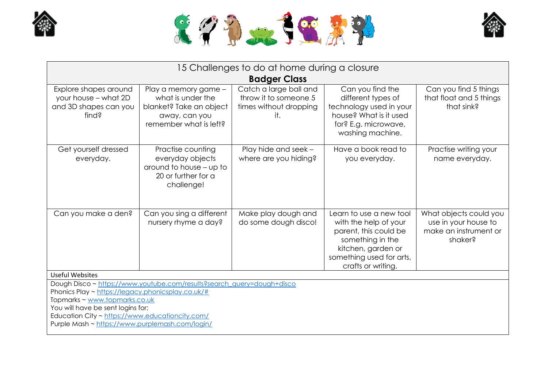





| 15 Challenges to do at home during a closure<br><b>Badger Class</b>                                                                                                                                                                                                                                     |                                                                                                                 |                                                                                  |                                                                                                                                                                       |                                                                                    |
|---------------------------------------------------------------------------------------------------------------------------------------------------------------------------------------------------------------------------------------------------------------------------------------------------------|-----------------------------------------------------------------------------------------------------------------|----------------------------------------------------------------------------------|-----------------------------------------------------------------------------------------------------------------------------------------------------------------------|------------------------------------------------------------------------------------|
| Explore shapes around<br>your house - what 2D<br>and 3D shapes can you<br>find?                                                                                                                                                                                                                         | Play a memory game -<br>what is under the<br>blanket? Take an object<br>away, can you<br>remember what is left? | Catch a large ball and<br>throw it to someone 5<br>times without dropping<br>it. | Can you find the<br>different types of<br>technology used in your<br>house? What is it used<br>for? E.g. microwave,<br>washing machine.                               | Can you find 5 things<br>that float and 5 things<br>that sink?                     |
| Get yourself dressed<br>everyday.                                                                                                                                                                                                                                                                       | Practise counting<br>everyday objects<br>around to house - up to<br>20 or further for a<br>challenge!           | Play hide and seek -<br>where are you hiding?                                    | Have a book read to<br>you everyday.                                                                                                                                  | Practise writing your<br>name everyday.                                            |
| Can you make a den?                                                                                                                                                                                                                                                                                     | Can you sing a different<br>nursery rhyme a day?                                                                | Make play dough and<br>do some dough disco!                                      | Learn to use a new tool<br>with the help of your<br>parent, this could be<br>something in the<br>kitchen, garden or<br>something used for arts,<br>crafts or writing. | What objects could you<br>use in your house to<br>make an instrument or<br>shaker? |
| <b>Useful Websites</b>                                                                                                                                                                                                                                                                                  |                                                                                                                 |                                                                                  |                                                                                                                                                                       |                                                                                    |
| Dough Disco ~ https://www.youtube.com/results?search_query=dough+disco<br>Phonics Play ~ https://legacy.phonicsplay.co.uk/#<br>Topmarks ~ www.topmarks.co.uk<br>You will have be sent logins for;<br>Education City ~ https://www.educationcity.com/<br>Purple Mash ~ https://www.purplemash.com/login/ |                                                                                                                 |                                                                                  |                                                                                                                                                                       |                                                                                    |